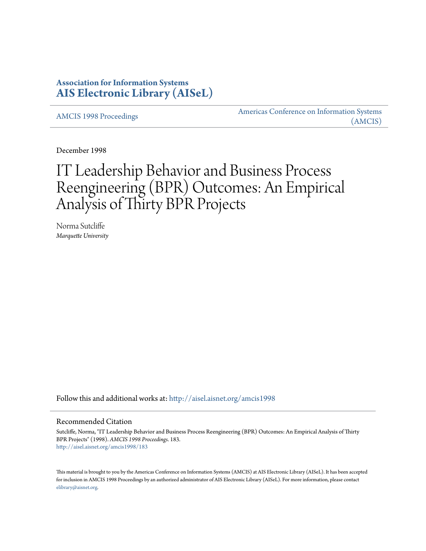## **Association for Information Systems [AIS Electronic Library \(AISeL\)](http://aisel.aisnet.org?utm_source=aisel.aisnet.org%2Famcis1998%2F183&utm_medium=PDF&utm_campaign=PDFCoverPages)**

[AMCIS 1998 Proceedings](http://aisel.aisnet.org/amcis1998?utm_source=aisel.aisnet.org%2Famcis1998%2F183&utm_medium=PDF&utm_campaign=PDFCoverPages)

[Americas Conference on Information Systems](http://aisel.aisnet.org/amcis?utm_source=aisel.aisnet.org%2Famcis1998%2F183&utm_medium=PDF&utm_campaign=PDFCoverPages) [\(AMCIS\)](http://aisel.aisnet.org/amcis?utm_source=aisel.aisnet.org%2Famcis1998%2F183&utm_medium=PDF&utm_campaign=PDFCoverPages)

December 1998

# IT Leadership Behavior and Business Process Reengineering (BPR) Outcomes: An Empirical Analysis of Thirty BPR Projects

Norma Sutcliffe *Marquette University*

Follow this and additional works at: [http://aisel.aisnet.org/amcis1998](http://aisel.aisnet.org/amcis1998?utm_source=aisel.aisnet.org%2Famcis1998%2F183&utm_medium=PDF&utm_campaign=PDFCoverPages)

### Recommended Citation

Sutcliffe, Norma, "IT Leadership Behavior and Business Process Reengineering (BPR) Outcomes: An Empirical Analysis of Thirty BPR Projects" (1998). *AMCIS 1998 Proceedings*. 183. [http://aisel.aisnet.org/amcis1998/183](http://aisel.aisnet.org/amcis1998/183?utm_source=aisel.aisnet.org%2Famcis1998%2F183&utm_medium=PDF&utm_campaign=PDFCoverPages)

This material is brought to you by the Americas Conference on Information Systems (AMCIS) at AIS Electronic Library (AISeL). It has been accepted for inclusion in AMCIS 1998 Proceedings by an authorized administrator of AIS Electronic Library (AISeL). For more information, please contact [elibrary@aisnet.org.](mailto:elibrary@aisnet.org%3E)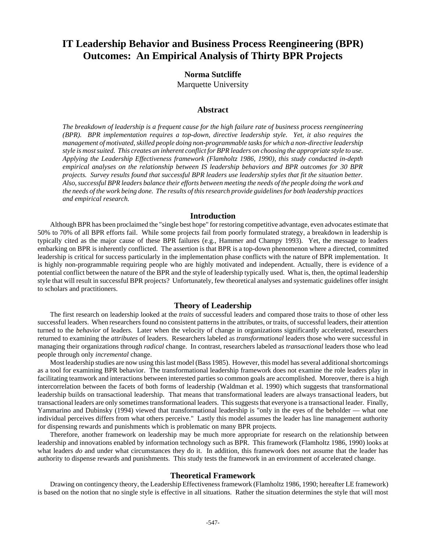# **IT Leadership Behavior and Business Process Reengineering (BPR) Outcomes: An Empirical Analysis of Thirty BPR Projects**

## **Norma Sutcliffe**

Marquette University

#### **Abstract**

*The breakdown of leadership is a frequent cause for the high failure rate of business process reengineering (BPR). BPR implementation requires a top-down, directive leadership style. Yet, it also requires the management of motivated, skilled people doing non-programmable tasks for which a non-directive leadership style is most suited. This creates an inherent conflict for BPR leaders on choosing the appropriate style to use. Applying the Leadership Effectiveness framework (Flamholtz 1986, 1990), this study conducted in-depth empirical analyses on the relationship between IS leadership behaviors and BPR outcomes for 30 BPR projects. Survey results found that successful BPR leaders use leadership styles that fit the situation better. Also, successful BPR leaders balance their efforts between meeting the needs of the people doing the work and the needs of the work being done. The results of this research provide guidelines for both leadership practices and empirical research.*

#### **Introduction**

Although BPR has been proclaimed the "single best hope" for restoring competitive advantage, even advocates estimate that 50% to 70% of all BPR efforts fail. While some projects fail from poorly formulated strategy, a breakdown in leadership is typically cited as the major cause of these BPR failures (e.g., Hammer and Champy 1993). Yet, the message to leaders embarking on BPR is inherently conflicted. The assertion is that BPR is a top-down phenomenon where a directed, committed leadership is critical for success particularly in the implementation phase conflicts with the nature of BPR implementation. It is highly non-programmable requiring people who are highly motivated and independent. Actually, there is evidence of a potential conflict between the nature of the BPR and the style of leadership typically used. What is, then, the optimal leadership style that will result in successful BPR projects? Unfortunately, few theoretical analyses and systematic guidelines offer insight to scholars and practitioners.

#### **Theory of Leadership**

The first research on leadership looked at the *traits* of successful leaders and compared those traits to those of other less successful leaders. When researchers found no consistent patterns in the attributes, or traits, of successful leaders, their attention turned to the *behavior* of leaders. Later when the velocity of change in organizations significantly accelerated, researchers returned to examining the *attributes* of leaders. Researchers labeled as *transformational* leaders those who were successful in managing their organizations through *radical* change. In contrast, researchers labeled as *transactional* leaders those who lead people through only *incremental* change.

Most leadership studies are now using this last model (Bass 1985). However, this model has several additional shortcomings as a tool for examining BPR behavior. The transformational leadership framework does not examine the role leaders play in facilitating teamwork and interactions between interested parties so common goals are accomplished. Moreover, there is a high intercorrelation between the facets of both forms of leadership (Waldman et al. 1990) which suggests that transformational leadership builds on transactional leadership. That means that transformational leaders are always transactional leaders, but transactional leaders are only sometimes transformational leaders. This suggests that everyone is a transactional leader. Finally, Yammarino and Dubinsky (1994) viewed that transformational leadership is "only in the eyes of the beholder — what one individual perceives differs from what others perceive." Lastly this model assumes the leader has line management authority for dispensing rewards and punishments which is problematic on many BPR projects.

Therefore, another framework on leadership may be much more appropriate for research on the relationship between leadership and innovations enabled by information technology such as BPR. This framework (Flamholtz 1986, 1990) looks at what leaders *do* and under what circumstances they do it. In addition, this framework does not assume that the leader has authority to dispense rewards and punishments. This study tests the framework in an environment of accelerated change.

#### **Theoretical Framework**

Drawing on contingency theory, the Leadership Effectiveness framework (Flamholtz 1986, 1990; hereafter LE framework) is based on the notion that no single style is effective in all situations. Rather the situation determines the style that will most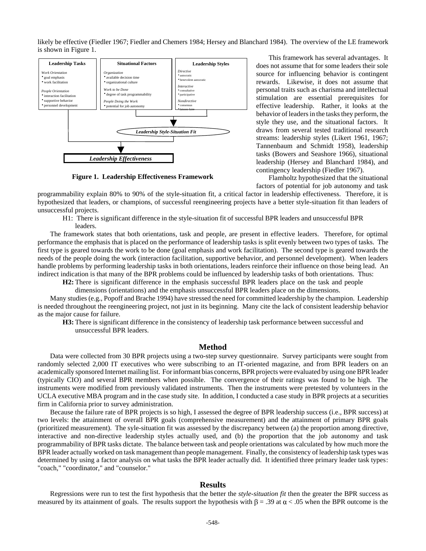likely be effective (Fiedler 1967; Fiedler and Chemers 1984; Hersey and Blanchard 1984). The overview of the LE framework is shown in Figure 1.



**Figure 1. Leadership Effectiveness Framework**

This framework has several advantages. It does not assume that for some leaders their sole source for influencing behavior is contingent rewards. Likewise, it does not assume that personal traits such as charisma and intellectual stimulation are essential prerequisites for effective leadership. Rather, it looks at the behavior of leaders in the tasks they perform, the style they use, and the situational factors. It draws from several tested traditional research streams: leadership styles (Likert 1961, 1967; Tannenbaum and Schmidt 1958), leadership tasks (Bowers and Seashore 1966), situational leadership (Hersey and Blanchard 1984), and contingency leadership (Fiedler 1967).

Flamholtz hypothesized that the situational factors of potential for job autonomy and task

programmability explain 80% to 90% of the style-situation fit, a critical factor in leadership effectiveness. Therefore, it is hypothesized that leaders, or champions, of successful reengineering projects have a better style-situation fit than leaders of unsuccessful projects.

H1: There is significant difference in the style-situation fit of successful BPR leaders and unsuccessful BPR leaders.

The framework states that both orientations, task and people, are present in effective leaders. Therefore, for optimal performance the emphasis that is placed on the performance of leadership tasks is split evenly between two types of tasks. The first type is geared towards the work to be done (goal emphasis and work facilitation). The second type is geared towards the needs of the people doing the work (interaction facilitation, supportive behavior, and personnel development). When leaders handle problems by performing leadership tasks in both orientations, leaders reinforce their influence on those being lead. An indirect indication is that many of the BPR problems could be influenced by leadership tasks of both orientations. Thus:

**H2:** There is significant difference in the emphasis successful BPR leaders place on the task and people

dimensions (orientations) and the emphasis unsuccessful BPR leaders place on the dimensions.

Many studies (e.g., Popoff and Brache 1994) have stressed the need for committed leadership by the champion. Leadership is needed throughout the reengineering project, not just in its beginning. Many cite the lack of consistent leadership behavior as the major cause for failure.

**H3:** There is significant difference in the consistency of leadership task performance between successful and unsuccessful BPR leaders.

#### **Method**

Data were collected from 30 BPR projects using a two-step survey questionnaire. Survey participants were sought from randomly selected 2,000 IT executives who were subscribing to an IT-oriented magazine, and from BPR leaders on an academically sponsored Internet mailing list. For informant bias concerns, BPR projects were evaluated by using one BPR leader (typically CIO) and several BPR members when possible. The convergence of their ratings was found to be high. The instruments were modified from previously validated instruments. Then the instruments were pretested by volunteers in the UCLA executive MBA program and in the case study site. In addition, I conducted a case study in BPR projects at a securities firm in California prior to survey administration.

Because the failure rate of BPR projects is so high, I assessed the degree of BPR leadership success (i.e., BPR success) at two levels: the attainment of overall BPR goals (comprehensive measurement) and the attainment of primary BPR goals (prioritized measurement). The syle-situation fit was assessed by the discrepancy between (a) the proportion among directive, interactive and non-directive leadership styles actually used, and (b) the proportion that the job autonomy and task programmability of BPR tasks dictate. The balance between task and people orientations was calculated by how much more the BPR leader actually worked on task management than people management. Finally, the consistency of leadership task types was determined by using a factor analysis on what tasks the BPR leader actually did. It identified three primary leader task types: "coach," "coordinator," and "counselor."

#### **Results**

Regressions were run to test the first hypothesis that the better the *style-situation fit* then the greater the BPR success as measured by its attainment of goals. The results support the hypothesis with  $\beta$  = .39 at  $\alpha$  < .05 when the BPR outcome is the